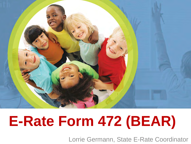

# **E-Rate Form 472 (BEAR)**

Lorrie Germann, State E-Rate Coordinator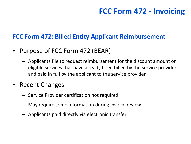### **FCC Form 472 - Invoicing**

### **FCC Form 472: Billed Entity Applicant Reimbursement**

- Purpose of FCC Form 472 (BEAR)
	- Applicants file to request reimbursement for the discount amount on eligible services that have already been billed by the service provider and paid in full by the applicant to the service provider

### • Recent Changes

- Service Provider certification not required
- May require some information during invoice review
- Applicants paid directly via electronic transfer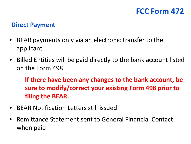#### **Direct Payment**

- BEAR payments only via an electronic transfer to the applicant
- Billed Entities will be paid directly to the bank account listed on the Form 498
	- **If there have been any changes to the bank account, be sure to modify/correct your existing Form 498 prior to filing the BEAR.**
- BEAR Notification Letters still issued
- Remittance Statement sent to General Financial Contact when paid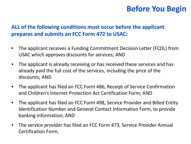### **Before You Begin**

#### **ALL of the following conditions must occur before the applicant prepares and submits an FCC Form 472 to USAC:**

- The applicant receives a Funding Commitment Decision Letter (FCDL) from USAC which approves discounts for services; AND
- The applicant is already receiving or has received these services and has already paid the full cost of the services, including the price of the discounts; AND
- The applicant has filed an FCC Form 486, Receipt of Service Confirmation and Children's Internet Protection Act Certification Form; AND
- The applicant has filed an FCC Form 498, Service Provider and Billed Entity Identification Number and General Contact Information Form, to provide banking information; AND
- The service provider has filed an FCC Form 473, Service Provider Annual Certification Form.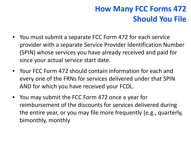### **How Many FCC Forms 472 Should You File**

- You must submit a separate FCC Form 472 for each service provider with a separate Service Provider Identification Number (SPIN) whose services you have already received and paid for since your actual service start date.
- Your FCC Form 472 should contain information for each and every one of the FRNs for services delivered under that SPIN AND for which you have received your FCDL.
- You may submit the FCC Form 472 once a year for reimbursement of the discounts for services delivered during the entire year, or you may file more frequently (e.g., quarterly, bimonthly, monthly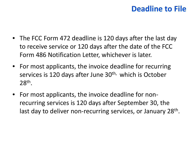### **Deadline to File**

- The FCC Form 472 deadline is 120 days after the last day to receive service or 120 days after the date of the FCC Form 486 Notification Letter, whichever is later.
- For most applicants, the invoice deadline for recurring services is 120 days after June 30<sup>th,</sup> which is October 28th.
- For most applicants, the invoice deadline for nonrecurring services is 120 days after September 30, the last day to deliver non-recurring services, or January 28<sup>th</sup>.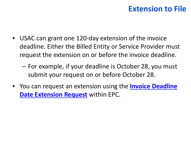### **Extension to File**

- USAC can grant one 120-day extension of the invoice deadline. Either the Billed Entity or Service Provider must request the extension on or before the invoice deadline.
	- For example, if your deadline is October 28, you must submit your request on or before October 28.
- [You can request an extension using the](https://portal.usac.org/suite/tempo/records/item/lYBDUvg2DtnG8p1r6dDkTVfs7HcdVWZ-z0lFPZtEylj6-9vpnR6Xk0nsE1YaykWomTCde1gVUrWZyFh5QdVKmzfHA4Lj_L7MsRPIpSNEc8ydbi_JsJB8g/view/actions/iwBDUvg2DtnG8p1r-VSmDJ8hm_lFkFtKBDvDEGDmQicKONFJYH6NY31fg3UgA) **Invoice Deadline Date Extension Request** within EPC.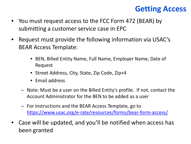### **Getting Access**

- You must request access to the FCC Form 472 (BEAR) by submitting a customer service case in EPC
- Request must provide the following information via USAC's BEAR Access Template:
	- BEN, Billed Entity Name, Full Name, Employer Name, Date of Request
	- Street Address, City, State, Zip Code, Zip+4
	- Email address
	- Note: Must be a user on the Billed Entity's profile. If not, contact the Account Administrator for the BEN to be added as a user
	- For instructions and the BEAR Access Template, go to <https://www.usac.org/e-rate/resources/forms/bear-form-access/>
- Case will be updated, and you'll be notified when access has been granted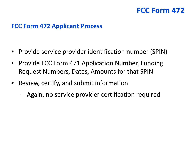#### **FCC Form 472 Applicant Process**

- Provide service provider identification number (SPIN)
- Provide FCC Form 471 Application Number, Funding Request Numbers, Dates, Amounts for that SPIN
- Review, certify, and submit information
	- Again, no service provider certification required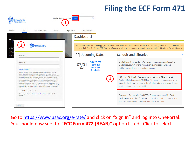### **Filing the ECF Form 471**

| Subscribe Payments Open Data                                                                |                                                                                                                                 |                                                                                                                                                                                                                                                                                                                                                                                                                                                                                                                                                                              |
|---------------------------------------------------------------------------------------------|---------------------------------------------------------------------------------------------------------------------------------|------------------------------------------------------------------------------------------------------------------------------------------------------------------------------------------------------------------------------------------------------------------------------------------------------------------------------------------------------------------------------------------------------------------------------------------------------------------------------------------------------------------------------------------------------------------------------|
| High Cost $\vee$<br>Service Providers V<br><b>Dashboard</b><br>(i)                          |                                                                                                                                 |                                                                                                                                                                                                                                                                                                                                                                                                                                                                                                                                                                              |
| Upcoming Dates                                                                              | <b>Schools and Libraries</b>                                                                                                    |                                                                                                                                                                                                                                                                                                                                                                                                                                                                                                                                                                              |
| <b>FY2022 FCC</b><br>07/01<br><b>Form 470</b><br><b>Becomes</b><br>2021<br><b>Available</b> | E-rate Productivity Center to manage program processes, receive<br>notifications and to contact customer service.               |                                                                                                                                                                                                                                                                                                                                                                                                                                                                                                                                                                              |
|                                                                                             | FCC Form 472 (BEAR) - Applicants file an FCC Form 472 (Billed Entity<br>applicant has received and paid for in full.            |                                                                                                                                                                                                                                                                                                                                                                                                                                                                                                                                                                              |
|                                                                                             | Emergency Connectivity Fund (ECF) - Emergency Connectivity Fund<br>and review notifications regarding their program activities. |                                                                                                                                                                                                                                                                                                                                                                                                                                                                                                                                                                              |
|                                                                                             |                                                                                                                                 | In accordance with the Supply Chain orders, new certifications have been added to the following forms: RHC - FCC Form 463 an<br>and High Cost & Lifeline - FCC Form 481. Service providers are required to submit these annual certifications. For additional info<br>E-rate Productivity Center (EPC) - E-rate Program participants use the<br>Applicant Reimbursement (BEAR) Form) to request reimbursement from<br>USAC for the discount amount of the eligible products or services that the<br>participants use the ECF Portal to submit applications for reimbursement |

Go to <https://www.usac.org/e-rate/> and click on "Sign In" and log into OnePortal. You should now see the **"FCC Form 472 (BEAR)"** option listed. Click to select.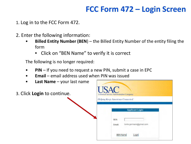### **FCC Form 472 – Login Screen**

- 1. Log in to the FCC Form 472.
- 2. Enter the following information:
	- **Billed Entity Number (BEN**) the Billed Entity Number of the entity filing the form
		- Click on "BEN Name" to verify it is correct

The following is no longer required:

- **PIN**  If you need to request a new PIN, submit a case in EPC
- **Email**  email address used when PIN was issued
- **Last Name**  your last name
- 3. Click **Login** to continue.

| Universal Service Administrative Company |  |
|------------------------------------------|--|
| Helping Keep Americans Connected         |  |
|                                          |  |
| <b>Applicant Login:</b>                  |  |
| BEN:                                     |  |
|                                          |  |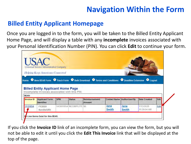### **Navigation Within the Form**

#### **Billed Entity Applicant Homepage**

Once you are logged in to the form, you will be taken to the Billed Entity Applicant Home Page, and will display a table with any **incomplete** invoices associated with your Personal Identification Number (PIN). You can click **Edit** to continue your form.

|                                   | Universal Service Administrative Company      |             |               |                                                                                                                                             |                                   |                     |      |
|-----------------------------------|-----------------------------------------------|-------------|---------------|---------------------------------------------------------------------------------------------------------------------------------------------|-----------------------------------|---------------------|------|
|                                   | <b>Helping Keep Americans Connected</b>       |             |               |                                                                                                                                             |                                   |                     |      |
|                                   |                                               |             |               |                                                                                                                                             |                                   |                     |      |
|                                   | <b>Billed Entity Applicant Home Page</b>      |             |               | <b>O</b> New BEAR Form <b>O</b> Track Form <b>O</b> Bulk Download <b>O</b> Terms and Conditions <b>O</b> Deadline Extension <b>O</b> Logout |                                   |                     |      |
| Home                              | Incomplete Invoices associated with this PIN: |             |               |                                                                                                                                             |                                   |                     |      |
| <b>BEAR:</b><br><b>Invoice ID</b> | <b>Applicant Form</b><br><b>Identifier</b>    | <b>SPIN</b> | <b>Status</b> | <b>Reimbursement</b><br><b>Amount</b>                                                                                                       | <b>Contact Name Authorized By</b> | <b>Date Created</b> | Edit |

If you click the **Invoice ID** link of an incomplete form, you can view the form, but you will not be able to edit it until you click the **Edit This Invoice** link that will be displayed at the top of the page.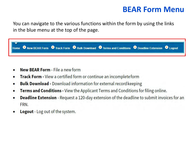### **BEAR Form Menu**

You can navigate to the various functions within the form by using the links in the blue menu at the top of the page.



- **New BEAR Form File a new form**
- **Track Form** View a certified form or continue an incomplete form
- **Bulk Download** Download information for external record keeping
- **Terms and Conditions** View the Applicant Terms and Conditions for filing online.
- **Deadline Extension** Request a 120-day extension of the deadline to submit invoices for an FRN.
- **Logout** Log out of the system.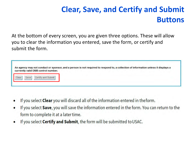## **Clear, Save, and Certify and Submit Buttons**

At the bottom of every screen, you are given three options. These will allow you to clear the information you entered, save the form, or certify and submit the form.

| currently valid OMB control number. | An agency may not conduct or sponsor, and a person is not required to respond to, a collection of information unless it displays a |
|-------------------------------------|------------------------------------------------------------------------------------------------------------------------------------|
| Certify and Submit                  |                                                                                                                                    |

- If you select **Clear** you will discard all of the information entered in the form. ۰
- If you select Save, you will save the information entered in the form. You can return to the ٠ form to complete it at a later time.
- If you select **Certify and Submit**, the form will be submitted to USAC.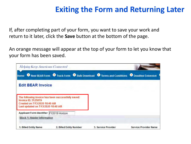### **Exiting the Form and Returning Later**

If, after completing part of your form, you want to save your work and return to it later, click the **Save** button at the bottom of the page.

An orange message will appear at the top of your form to let you know that your form has been saved.

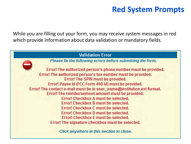### **Red System Prompts**

While you are filling out your form, you may receive system messages in red which provide information about data validation or mandatory fields.

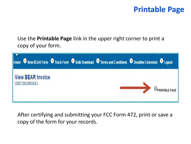### **Printable Page**

Use the **Printable Page** link in the upper right corner to print a copy of your form.



After certifying and submitting your FCC Form 472, print or save a copy of the form for your records.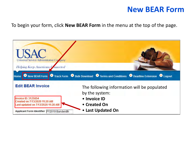### **New BEAR Form**

To begin your form, click **New BEAR Form** in the menu at the top of the page.

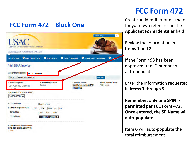#### **FCC Form 472 – Block One**



### **FCC Form 472**

Create an identifier or nickname for your own reference in the **Applicant Form Identifier** field**.** 

Review the information in **Items 1** and **2**.

If the Form 498 has been approved, the ID number will auto-populate

Enter the information requested in **Items 3** through **5**.

**Remember, only one SPIN is permitted per FCC Form 472. Once entered, the SP Name will auto-populate.**

**Item 6** will auto-populate the total reimbursement.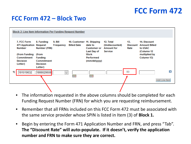#### **FCC Form 472 – Block Two**



- The information requested in the above columns should be completed for each Funding Request Number (FRN) for which you are requesting reimbursement.
- Remember that all FRNs included on this FCC Form 472 must be associated with the same service provider whose SPIN is listed in Item (3) of **Block 1.**
- Begin by entering the Form 471 Application Number and FRN, and press "Tab". **The "Discount Rate" will auto-populate. If it doesn't, verify the application number and FRN to make sure they are correct.**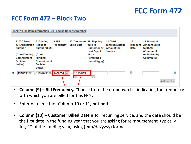#### **FCC Form 472 – Block Two**



- **Column (9) – Bill Frequency.** Choose from the dropdown list indicating the frequency with which you are billed for this FRN.
- Enter date in either Column 10 or 11, **not both**.
- **Column (10) – Customer Billed Date** is for recurring service, and the date should be the first date in the funding year that you are asking for reimbursement, typically July 1<sup>st</sup> of the funding year, using  $\frac{m}{d}$  (mm/dd/yyyy) format.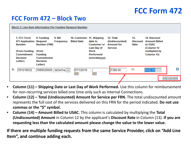#### **FCC Form 472 – Block Two**



- **Column (11) – Shipping Date or Last Day of Work Performed.** Use this column for reimbursement for non-recurring services billed one time only such as Internal Connections.
- **Column (12) – Total (Undiscounted) Amount for Service per FRN.** The total undiscounted amount represents the full cost of the services delivered on this FRN for the period indicated. **Do not use commas or the "\$" symbol.**
- **Column (14) – Amount Billed to USAC.** This column is calculated by multiplying the **Total (Undiscounted) Amount** in Column 12 by the applicant's **Discount Rate** in Column (13). **If you are requesting less than the calculated amount please change the value to the lower value.**

**If there are multiple funding requests from the same Service Provider, click on "Add Line Item", and continue adding each.**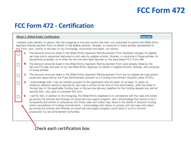#### **FCC Form 472 - Certification**

#### **Block 3: Billed Entity Certification**

┓

 $\Box$ 

Need Help?

I declare under penalty of periury that the foregoing is true and correct and that I am authorized to submit this Billed Entity Applicant Reimbursement Form on behalf of the eligible schools, libraries, or consortia of those entities represented on this Form, and I certify to the best of my knowledge, information and belief, as follows: A. The discount amounts listed in this Billed Entity Applicant Reimbursement Form represent charges for eligible

- services and/or equipment delivered to and used by eligible schools, libraries, or consortia of those entities for educational purposes, on or after the service start date reported on the associated FCC Form 486.
- B. The discount amounts listed in this Billed Entity Applicant Reimbursement Form were already billed by the Service Provider and paid for by the Billed Entity Applicant on behalf of eligible schools, libraries, and consortia of those entities.
- C. The discount amounts listed in this Billed Entity Applicant Reimbursement Form are for eligible services and/or equipment approved by the Fund Administrator pursuant to a Funding Commitment Decision Letter (FCDL).
- D. I acknowledge that I may be audited pursuant to this application and will retain for at least 10 years (or whatever retention period is required by the rules in effect at the time of this certification), after the latter of the last day of the applicable funding year or the service delivery deadline for the funding request any and all records that I rely upon to complete this form.
- E. I certify that, in addition to the foregoing, this Billed Entity Applicant is in compliance with the rules and orders governing the schools and libraries universal service support program, and I acknowledge that failure to be in compliance and remain in compliance with those rules and orders may result in the denial of discount funding and/or cancellation of funding commitments. I acknowledge that failure to comply with the rules and orders governing the schools and libraries universal service support program could result in civil or criminal prosecution by law enforcement authorities.

Check each certification box.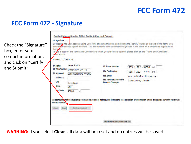#### **FCC Form 472 - Signature**

Check the "Signature" box, enter your contact information, and click on "Certify and Submit"

| munu above.<br>16. Date 7/15/2020<br>17. Name<br>18. Title/Position<br>20. Address 1<br>Address 2<br>City | Jane Smith<br><b>DIRECTOR OF ITS</b><br>2055 CENTRAL AVENU<br>Leesburg | 15. Phone Number<br>15a. Fax Number<br>19b. Email<br>15c. Name of Authorized<br>Person's Employer | To see a copy of the Terms and Conditions to which you previously agreed, please click on the "Terms and Conditions"<br>555 ) 222 - 0000 ext.<br>555 ) 222 - 4444 ext.<br>jane.smith@leelibrary.org<br>Lee County Library |
|-----------------------------------------------------------------------------------------------------------|------------------------------------------------------------------------|---------------------------------------------------------------------------------------------------|---------------------------------------------------------------------------------------------------------------------------------------------------------------------------------------------------------------------------|
| state<br>No Code<br>control number.                                                                       | <b>OH</b><br>45000<br>Certify and Submit                               |                                                                                                   | An agency may not conduct or sponsor, and a person is not required to respond to, a collection of information unless it displays a currently valid OMB                                                                    |

**WARNING:** If you select **Clear**, all data will be reset and no entries will be saved!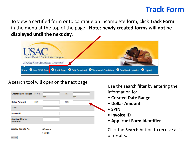### **Track Form**

To view a certified form or to continue an incomplete form, click **Track Form**  in the menu at the top of the page. **Note: newly created forms will not be displayed until the next day.**

| Universal Service Administrative Company<br>Helping Keep Americans Connected                         |  |  |  |
|------------------------------------------------------------------------------------------------------|--|--|--|
| Home Mew BEAR Form O Track Form O Bulk Download O Terms and Conditions O Deadline Extension O Logout |  |  |  |

#### A search tool will open on the next page.

| <b>Created Date Range:</b>           | From: |                                 | To:  |  |
|--------------------------------------|-------|---------------------------------|------|--|
| <b>Dollar Amount:</b>                | Min:  |                                 | Max: |  |
| SPIN:                                |       |                                 |      |  |
| Invoice Id:                          |       |                                 |      |  |
| <b>Applicant Form</b><br>Identifier: |       |                                 |      |  |
| <b>Display Results As:</b>           |       | <b>O</b> BEAR<br>$\bigcirc$ frn |      |  |
| Search                               |       |                                 |      |  |

Use the search filter by entering the information for:

- **Created Date Range**
- **Dollar Amount**
- **SPIN**
- **Invoice ID**
- **Applicant Form Identifier**

Click the **Search** button to receive a list of results.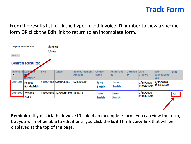### **Track Form**

From the results list, click the hyperlinked **Invoice ID** number to view a specific form OR click the **Edit** link to return to an incomplete form.



**Reminder:** If you click the **Invoice ID** link of an incomplete form, you can view the form, but you will not be able to edit it until you click the **Edit This Invoice** link that will be displayed at the top of the page.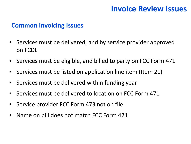### **Invoice Review Issues**

#### **Common Invoicing Issues**

- Services must be delivered, and by service provider approved on FCDL
- Services must be eligible, and billed to party on FCC Form 471
- Services must be listed on application line item (Item 21)
- Services must be delivered within funding year
- Services must be delivered to location on FCC Form 471
- Service provider FCC Form 473 not on file
- Name on bill does not match FCC Form 471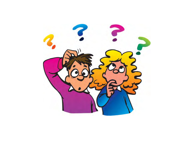